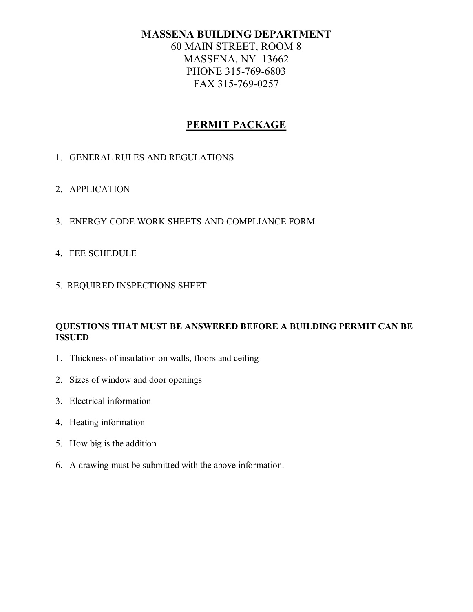60 MAIN STREET, ROOM 8 MASSENA, NY 13662 PHONE 315-769-6803 FAX 315-769-0257

# **PERMIT PACKAGE**

- 1. GENERAL RULES AND REGULATIONS
- 2. APPLICATION
- 3. ENERGY CODE WORK SHEETS AND COMPLIANCE FORM
- 4. FEE SCHEDULE
- 5. REQUIRED INSPECTIONS SHEET

## **QUESTIONS THAT MUST BE ANSWERED BEFORE A BUILDING PERMIT CAN BE ISSUED**

- 1. Thickness of insulation on walls, floors and ceiling
- 2. Sizes of window and door openings
- 3. Electrical information
- 4. Heating information
- 5. How big is the addition
- 6. A drawing must be submitted with the above information.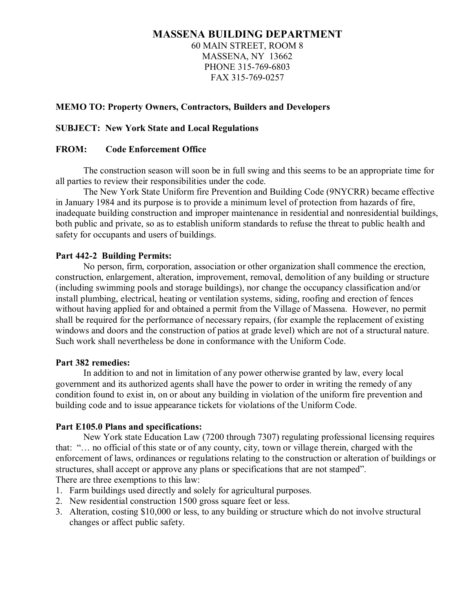60 MAIN STREET, ROOM 8 MASSENA, NY 13662 PHONE 315-769-6803 FAX 315-769-0257

## **MEMO TO: Property Owners, Contractors, Builders and Developers**

#### **SUBJECT: New York State and Local Regulations**

#### **FROM: Code Enforcement Office**

The construction season will soon be in full swing and this seems to be an appropriate time for all parties to review their responsibilities under the code.

The New York State Uniform fire Prevention and Building Code (9NYCRR) became effective in January 1984 and its purpose is to provide a minimum level of protection from hazards of fire, inadequate building construction and improper maintenance in residential and nonresidential buildings, both public and private, so as to establish uniform standards to refuse the threat to public health and safety for occupants and users of buildings.

#### **Part 4422 Building Permits:**

No person, firm, corporation, association or other organization shall commence the erection, construction, enlargement, alteration, improvement, removal, demolition of any building or structure (including swimming pools and storage buildings), nor change the occupancy classification and/or install plumbing, electrical, heating or ventilation systems, siding, roofing and erection of fences without having applied for and obtained a permit from the Village of Massena. However, no permit shall be required for the performance of necessary repairs, (for example the replacement of existing windows and doors and the construction of patios at grade level) which are not of a structural nature. Such work shall nevertheless be done in conformance with the Uniform Code.

#### **Part 382 remedies:**

In addition to and not in limitation of any power otherwise granted by law, every local government and its authorized agents shall have the power to order in writing the remedy of any condition found to exist in, on or about any building in violation of the uniform fire prevention and building code and to issue appearance tickets for violations of the Uniform Code.

#### **Part E105.0 Plans and specifications:**

New York state Education Law (7200 through 7307) regulating professional licensing requires that: "… no official of this state or of any county, city, town or village therein, charged with the enforcement of laws, ordinances or regulations relating to the construction or alteration of buildings or structures, shall accept or approve any plans or specifications that are not stamped". There are three exemptions to this law:

- 1. Farm buildings used directly and solely for agricultural purposes.
- 2. New residential construction 1500 gross square feet or less.
- 3. Alteration, costing \$10,000 or less, to any building or structure which do not involve structural changes or affect public safety.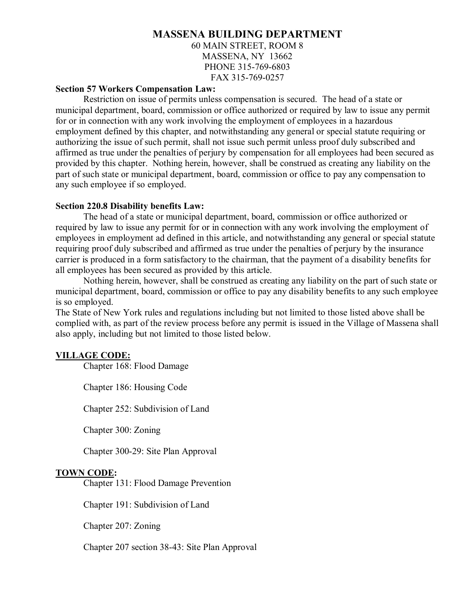60 MAIN STREET, ROOM 8 MASSENA, NY 13662 PHONE 315-769-6803 FAX 315-769-0257

#### **Section 57 Workers Compensation Law:**

Restriction on issue of permits unless compensation is secured. The head of a state or municipal department, board, commission or office authorized or required by law to issue any permit for or in connection with any work involving the employment of employees in a hazardous employment defined by this chapter, and notwithstanding any general or special statute requiring or authorizing the issue of such permit, shall not issue such permit unless proof duly subscribed and affirmed as true under the penalties of perjury by compensation for all employees had been secured as provided by this chapter. Nothing herein, however, shall be construed as creating any liability on the part of such state or municipal department, board, commission or office to pay any compensation to any such employee if so employed.

#### **Section 220.8 Disability benefits Law:**

The head of a state or municipal department, board, commission or office authorized or required by law to issue any permit for or in connection with any work involving the employment of employees in employment ad defined in this article, and notwithstanding any general or special statute requiring proof duly subscribed and affirmed as true under the penalties of perjury by the insurance carrier is produced in a form satisfactory to the chairman, that the payment of a disability benefits for all employees has been secured as provided by this article.

Nothing herein, however, shall be construed as creating any liability on the part of such state or municipal department, board, commission or office to pay any disability benefits to any such employee is so employed.

The State of New York rules and regulations including but not limited to those listed above shall be complied with, as part of the review process before any permit is issued in the Village of Massena shall also apply, including but not limited to those listed below.

#### **VILLAGE CODE:**

Chapter 168: Flood Damage

Chapter 186: Housing Code

Chapter 252: Subdivision of Land

Chapter 300: Zoning

Chapter 300-29: Site Plan Approval

#### **TOWN CODE:**

Chapter 131: Flood Damage Prevention

Chapter 191: Subdivision of Land

Chapter 207: Zoning

Chapter 207 section 3843: Site Plan Approval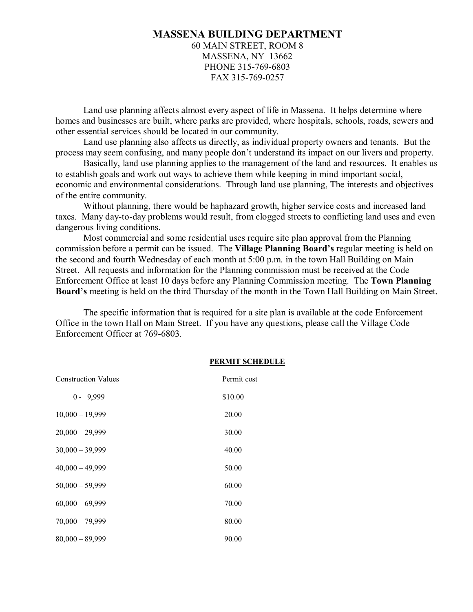60 MAIN STREET, ROOM 8 MASSENA, NY 13662 PHONE 315-769-6803 FAX 315-769-0257

Land use planning affects almost every aspect of life in Massena. It helps determine where homes and businesses are built, where parks are provided, where hospitals, schools, roads, sewers and other essential services should be located in our community.

Land use planning also affects us directly, as individual property owners and tenants. But the process may seem confusing, and many people don't understand its impact on our livers and property.

Basically, land use planning applies to the management of the land and resources. It enables us to establish goals and work out ways to achieve them while keeping in mind important social, economic and environmental considerations. Through land use planning, The interests and objectives of the entire community.

Without planning, there would be haphazard growth, higher service costs and increased land taxes. Many day-to-day problems would result, from clogged streets to conflicting land uses and even dangerous living conditions.

Most commercial and some residential uses require site plan approval from the Planning commission before a permit can be issued. The **Village Planning Board's** regular meeting is held on the second and fourth Wednesday of each month at 5:00 p.m. in the town Hall Building on Main Street. All requests and information for the Planning commission must be received at the Code Enforcement Office at least 10 days before any Planning Commission meeting. The **Town Planning Board's** meeting is held on the third Thursday of the month in the Town Hall Building on Main Street.

The specific information that is required for a site plan is available at the code Enforcement Office in the town Hall on Main Street. If you have any questions, please call the Village Code Enforcement Officer at 769-6803.

| <b>Construction Values</b> | Permit cost |
|----------------------------|-------------|
| $0 - 9,999$                | \$10.00     |
| $10,000 - 19,999$          | 20.00       |
| $20,000 - 29,999$          | 30.00       |
| $30,000 - 39,999$          | 40.00       |
| $40,000 - 49,999$          | 50.00       |
| $50,000 - 59,999$          | 60.00       |
| $60,000 - 69,999$          | 70.00       |
| $70,000 - 79,999$          | 80.00       |
| $80,000 - 89,999$          | 90.00       |

#### **PERMIT SCHEDULE**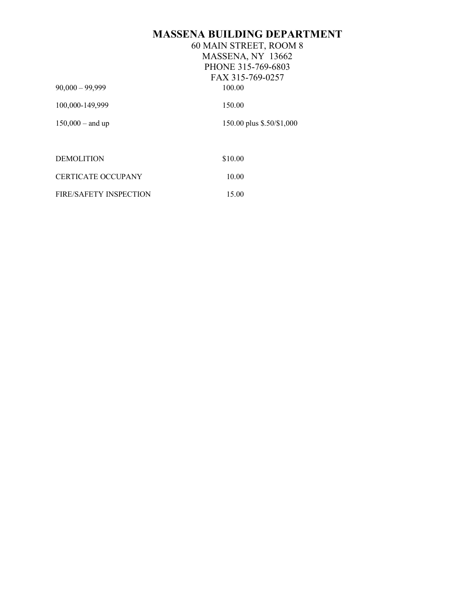|                        | 60 MAIN STREET, ROOM 8    |  |  |
|------------------------|---------------------------|--|--|
|                        | MASSENA, NY 13662         |  |  |
|                        | PHONE 315-769-6803        |  |  |
|                        | FAX 315-769-0257          |  |  |
| $90,000 - 99,999$      | 100.00                    |  |  |
| 100,000-149,999        | 150.00                    |  |  |
| $150,000 -$ and up     | 150.00 plus \$.50/\$1,000 |  |  |
|                        |                           |  |  |
| <b>DEMOLITION</b>      | \$10.00                   |  |  |
| CERTICATE OCCUPANY     | 10.00                     |  |  |
| FIRE/SAFETY INSPECTION | 15.00                     |  |  |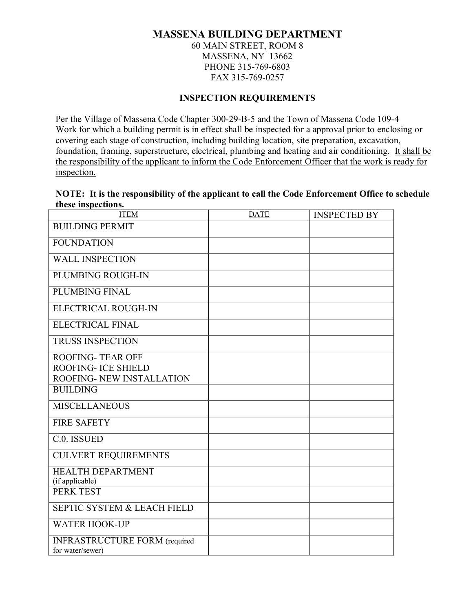60 MAIN STREET, ROOM 8 MASSENA, NY 13662 PHONE 315-769-6803 FAX 315-769-0257

## **INSPECTION REQUIREMENTS**

Per the Village of Massena Code Chapter 300-29-B-5 and the Town of Massena Code 109-4 Work for which a building permit is in effect shall be inspected for a approval prior to enclosing or covering each stage of construction, including building location, site preparation, excavation, foundation, framing, superstructure, electrical, plumbing and heating and air conditioning. It shall be the responsibility of the applicant to inform the Code Enforcement Officer that the work is ready for inspection.

#### **NOTE: It is the responsibility of the applicant to call the Code Enforcement Office to schedule these inspections.**

| <b>ITEM</b>                                              | <b>DATE</b> | <b>INSPECTED BY</b> |
|----------------------------------------------------------|-------------|---------------------|
| <b>BUILDING PERMIT</b>                                   |             |                     |
| <b>FOUNDATION</b>                                        |             |                     |
| <b>WALL INSPECTION</b>                                   |             |                     |
| PLUMBING ROUGH-IN                                        |             |                     |
| PLUMBING FINAL                                           |             |                     |
| ELECTRICAL ROUGH-IN                                      |             |                     |
| <b>ELECTRICAL FINAL</b>                                  |             |                     |
| <b>TRUSS INSPECTION</b>                                  |             |                     |
| <b>ROOFING-TEAR OFF</b>                                  |             |                     |
| <b>ROOFING- ICE SHIELD</b><br>ROOFING- NEW INSTALLATION  |             |                     |
| <b>BUILDING</b>                                          |             |                     |
| <b>MISCELLANEOUS</b>                                     |             |                     |
| <b>FIRE SAFETY</b>                                       |             |                     |
| C.0. ISSUED                                              |             |                     |
| <b>CULVERT REQUIREMENTS</b>                              |             |                     |
| HEALTH DEPARTMENT<br>(if applicable)                     |             |                     |
| PERK TEST                                                |             |                     |
| <b>SEPTIC SYSTEM &amp; LEACH FIELD</b>                   |             |                     |
| <b>WATER HOOK-UP</b>                                     |             |                     |
| <b>INFRASTRUCTURE FORM</b> (required<br>for water/sewer) |             |                     |